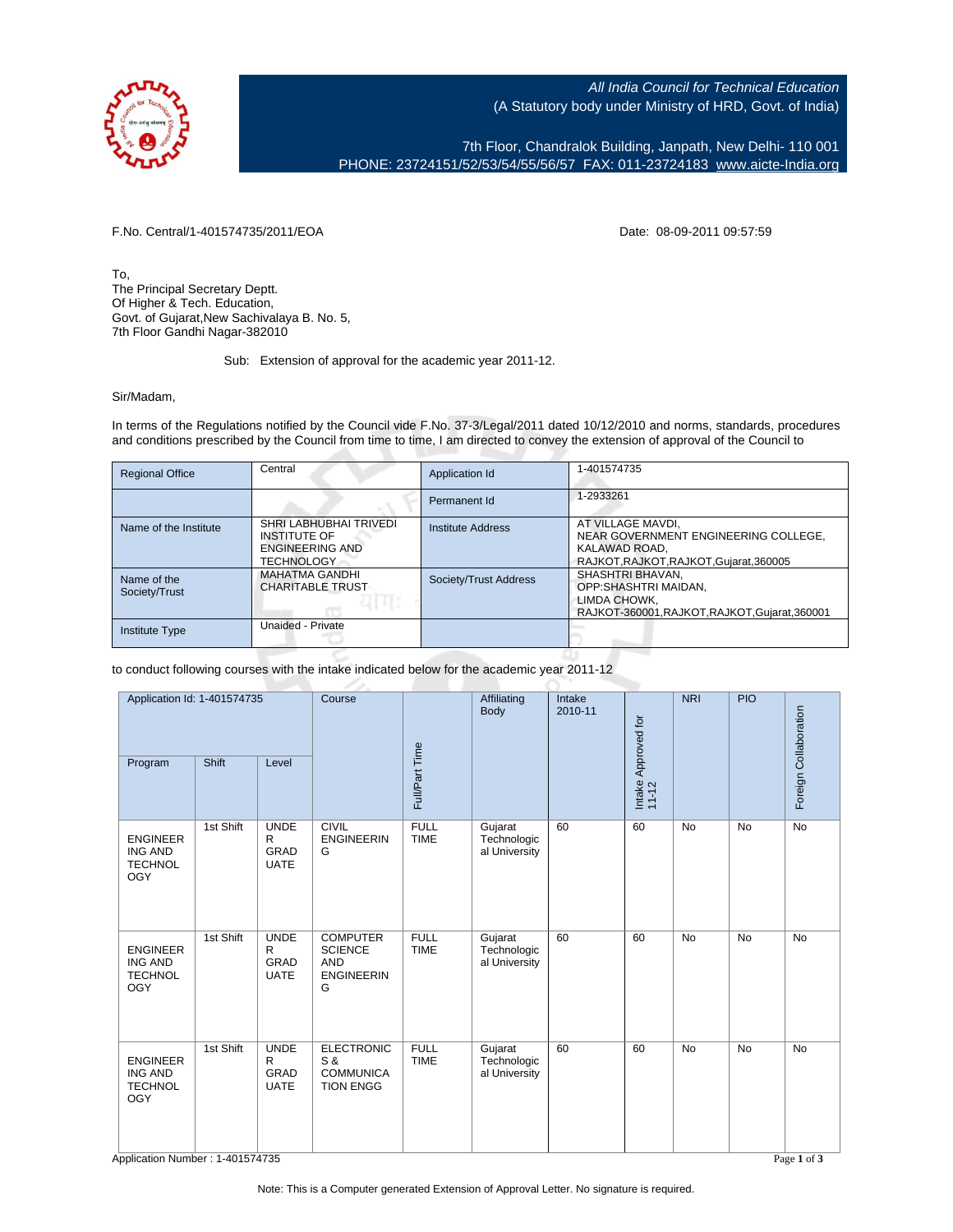

All India Council for Technical Education (A Statutory body under Ministry of HRD, Govt. of India)

7th Floor, Chandralok Building, Janpath, New Delhi- 110 001 PHONE: 23724151/52/53/54/55/56/57 FAX: 011-23724183 [www.aicte-India.org](http://www.aicte-India.org)

F.No. Central/1-401574735/2011/EOA Date: 08-09-2011 09:57:59

To, The Principal Secretary Deptt. Of Higher & Tech. Education, Govt. of Gujarat,New Sachivalaya B. No. 5, 7th Floor Gandhi Nagar-382010

## Sub: Extension of approval for the academic year 2011-12.

## Sir/Madam,

In terms of the Regulations notified by the Council vide F.No. 37-3/Legal/2011 dated 10/12/2010 and norms, standards, procedures and conditions prescribed by the Council from time to time, I am directed to convey the extension of approval of the Council to

| <b>Regional Office</b>       | Central                                                                                      | Application Id        | 1-401574735                                                                                                           |
|------------------------------|----------------------------------------------------------------------------------------------|-----------------------|-----------------------------------------------------------------------------------------------------------------------|
|                              |                                                                                              | Permanent Id          | 1-2933261                                                                                                             |
| Name of the Institute        | SHRI LABHUBHAI TRIVEDI<br><b>INSTITUTE OF</b><br><b>ENGINEERING AND</b><br><b>TECHNOLOGY</b> | Institute Address     | AT VILLAGE MAVDI,<br>NEAR GOVERNMENT ENGINEERING COLLEGE,<br>KALAWAD ROAD.<br>RAJKOT, RAJKOT, RAJKOT, Gujarat, 360005 |
| Name of the<br>Society/Trust | <b>MAHATMA GANDHI</b><br><b>CHARITABLE TRUST</b>                                             | Society/Trust Address | SHASHTRI BHAVAN,<br>OPP:SHASHTRI MAIDAN,<br>LIMDA CHOWK.<br>RAJKOT-360001, RAJKOT, RAJKOT, Gujarat, 360001            |
| Institute Type               | Unaided - Private                                                                            |                       |                                                                                                                       |

to conduct following courses with the intake indicated below for the academic year 2011-12

| Application Id: 1-401574735<br>Shift<br>Program<br>Level          |           | Course                                                    |                                                                           | Affiliating<br>Body        | Intake<br>2010-11                       | Intake Approved for<br>11-12 | NRI | PIO       | Foreign Collaboration |             |
|-------------------------------------------------------------------|-----------|-----------------------------------------------------------|---------------------------------------------------------------------------|----------------------------|-----------------------------------------|------------------------------|-----|-----------|-----------------------|-------------|
|                                                                   |           |                                                           | Full/Part Time                                                            |                            |                                         |                              |     |           |                       |             |
| <b>ENGINEER</b><br><b>ING AND</b><br><b>TECHNOL</b><br><b>OGY</b> | 1st Shift | <b>UNDE</b><br>$\mathsf{R}$<br><b>GRAD</b><br><b>UATE</b> | <b>CIVIL</b><br><b>ENGINEERIN</b><br>G                                    | <b>FULL</b><br><b>TIME</b> | Gujarat<br>Technologic<br>al University | 60                           | 60  | <b>No</b> | <b>No</b>             | No          |
| <b>ENGINEER</b><br><b>ING AND</b><br><b>TECHNOL</b><br><b>OGY</b> | 1st Shift | <b>UNDE</b><br>$\mathsf{R}$<br>GRAD<br><b>UATE</b>        | <b>COMPUTER</b><br><b>SCIENCE</b><br><b>AND</b><br><b>ENGINEERIN</b><br>G | <b>FULL</b><br><b>TIME</b> | Gujarat<br>Technologic<br>al University | 60                           | 60  | <b>No</b> | <b>No</b>             | <b>No</b>   |
| <b>ENGINEER</b><br><b>ING AND</b><br><b>TECHNOL</b><br><b>OGY</b> | 1st Shift | <b>UNDE</b><br>$\mathsf{R}$<br>GRAD<br><b>UATE</b>        | <b>ELECTRONIC</b><br>S &<br><b>COMMUNICA</b><br><b>TION ENGG</b>          | <b>FULL</b><br><b>TIME</b> | Gujarat<br>Technologic<br>al University | 60                           | 60  | <b>No</b> | <b>No</b>             | <b>No</b>   |
| Application Number: 1-401574735                                   |           |                                                           |                                                                           |                            |                                         |                              |     |           |                       | Page 1 of 3 |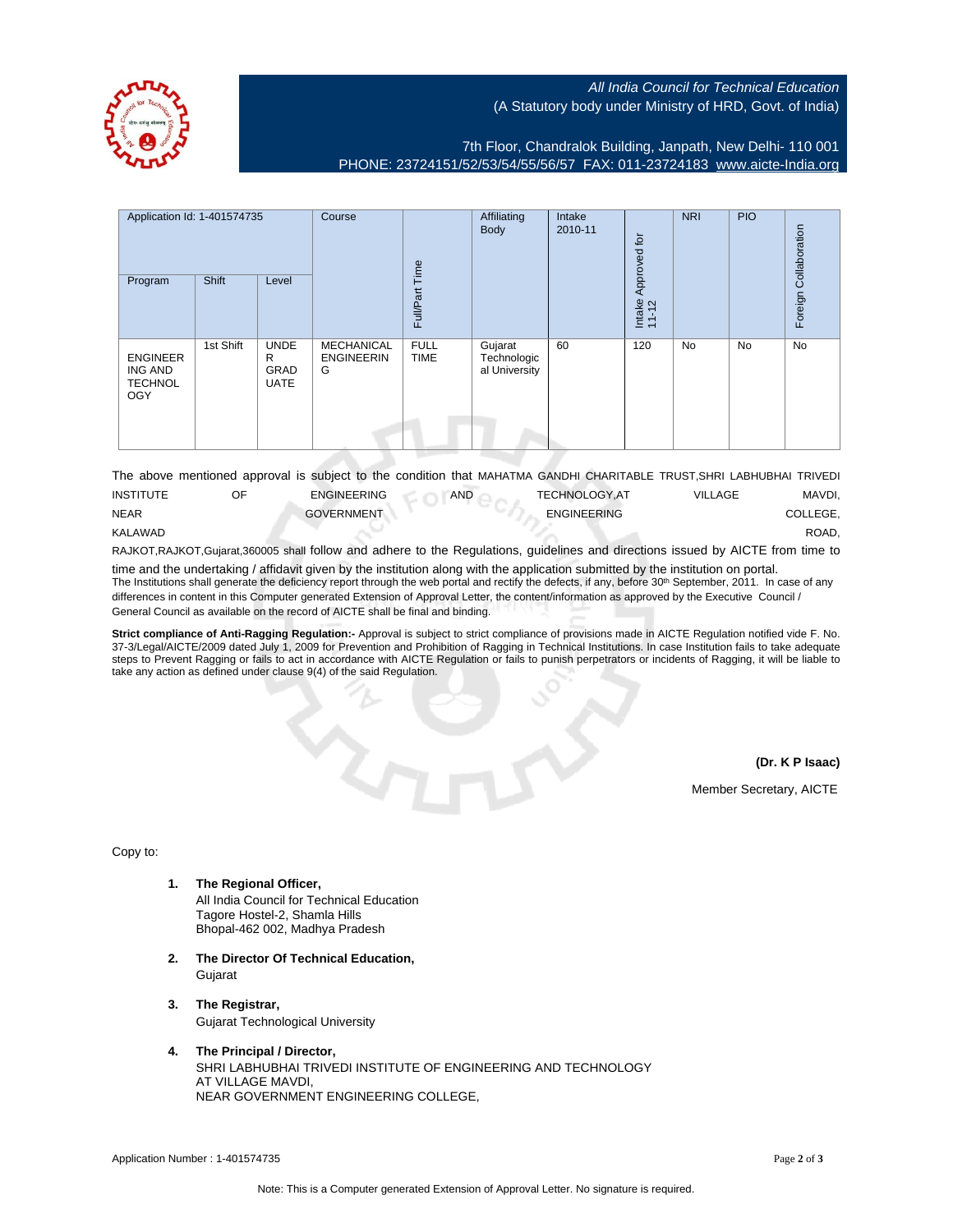

## All India Council for Technical Education (A Statutory body under Ministry of HRD, Govt. of India)

7th Floor, Chandralok Building, Janpath, New Delhi- 110 001 PHONE: 23724151/52/53/54/55/56/57 FAX: 011-23724183 [www.aicte-India.org](http://www.aicte-India.org)

| Application Id: 1-401574735<br>Program                            | Shift     | Level                                          | Course                               | jme<br>Full/Part           | Affiliating<br><b>Body</b>              | Intake<br>2010-11 | Approved for<br>Intake<br>11-12 | <b>NRI</b> | <b>PIO</b> | Collaboration<br>Foreign |
|-------------------------------------------------------------------|-----------|------------------------------------------------|--------------------------------------|----------------------------|-----------------------------------------|-------------------|---------------------------------|------------|------------|--------------------------|
| <b>ENGINEER</b><br><b>ING AND</b><br><b>TECHNOL</b><br><b>OGY</b> | 1st Shift | <b>UNDE</b><br>R<br><b>GRAD</b><br><b>UATE</b> | MECHANICAL<br><b>ENGINEERIN</b><br>G | <b>FULL</b><br><b>TIME</b> | Gujarat<br>Technologic<br>al University | 60                | 120                             | <b>No</b>  | No         | No                       |

|                  |                    |     |                      | The above mentioned approval is subject to the condition that MAHATMA GANDHI CHARITABLE TRUST, SHRI LABHUBHAI TRIVEDI |          |
|------------------|--------------------|-----|----------------------|-----------------------------------------------------------------------------------------------------------------------|----------|
| <b>INSTITUTE</b> | <b>ENGINEERING</b> | AND | <b>TECHNOLOGY.AT</b> | VILLAGE                                                                                                               | MAVDI.   |
| <b>NEAR</b>      | <b>GOVERNMENT</b>  |     | <b>ENGINEERING</b>   |                                                                                                                       | COLLEGE. |
| KALAWAD          |                    |     |                      |                                                                                                                       | ROAD.    |

RAJKOT,RAJKOT,Gujarat,360005 shall follow and adhere to the Regulations, guidelines and directions issued by AICTE from time to time and the undertaking / affidavit given by the institution along with the application submitted by the institution on portal.

The Institutions shall generate the deficiency report through the web portal and rectify the defects, if any, before 30<sup>th</sup> September, 2011. In case of any differences in content in this Computer generated Extension of Approval Letter, the content/information as approved by the Executive Council / General Council as available on the record of AICTE shall be final and binding.

**Strict compliance of Anti-Ragging Regulation:-** Approval is subject to strict compliance of provisions made in AICTE Regulation notified vide F. No. 37-3/Legal/AICTE/2009 dated July 1, 2009 for Prevention and Prohibition of Ragging in Technical Institutions. In case Institution fails to take adequate steps to Prevent Ragging or fails to act in accordance with AICTE Regulation or fails to punish perpetrators or incidents of Ragging, it will be liable to take any action as defined under clause 9(4) of the said Regulation.

**(Dr. K P Isaac)**

Member Secretary, AICTE

Copy to:

- **1. The Regional Officer,** All India Council for Technical Education Tagore Hostel-2, Shamla Hills Bhopal-462 002, Madhya Pradesh
- **2. The Director Of Technical Education,** Gujarat
- **3. The Registrar,** Gujarat Technological University
- **4. The Principal / Director,** SHRI LABHUBHAI TRIVEDI INSTITUTE OF ENGINEERING AND TECHNOLOGY AT VILLAGE MAVDI, NEAR GOVERNMENT ENGINEERING COLLEGE,